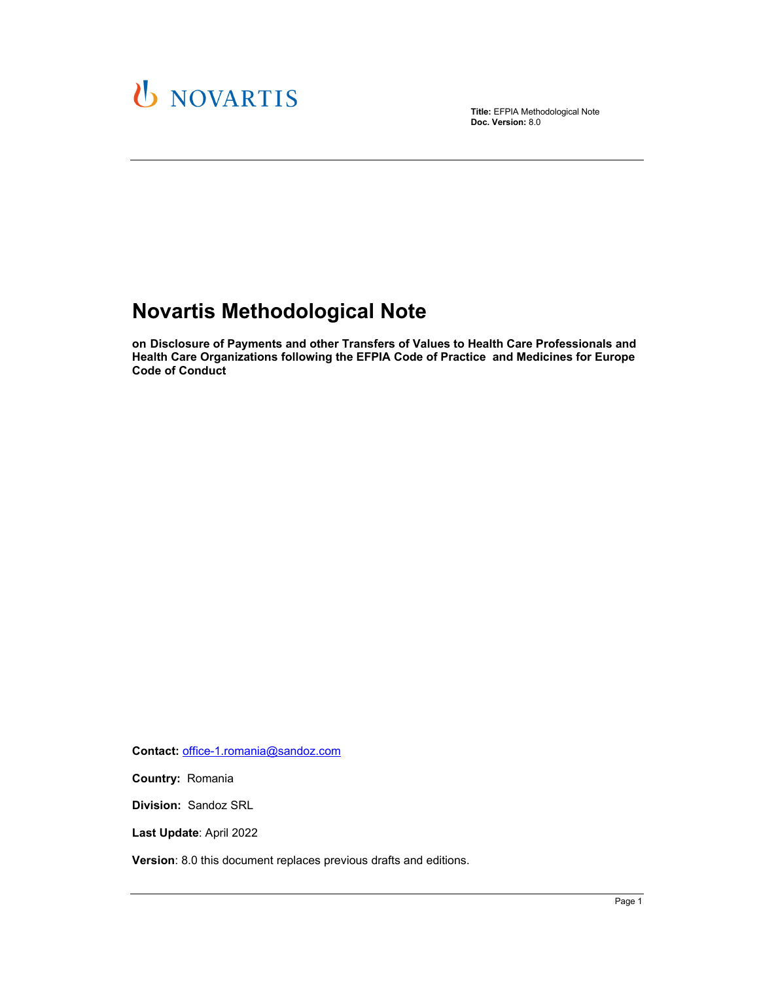

**Title:** EFPIA Methodological Note **Doc. Version:** 8.0

# **Novartis Methodological Note**

**on Disclosure of Payments and other Transfers of Values to Health Care Professionals and Health Care Organizations following the EFPIA Code of Practice and Medicines for Europe Code of Conduct** 

**Contact:** office-1.romania@sandoz.com

**Country:** Romania

**Division:** Sandoz SRL

**Last Update**: April 2022

**Version**: 8.0 this document replaces previous drafts and editions.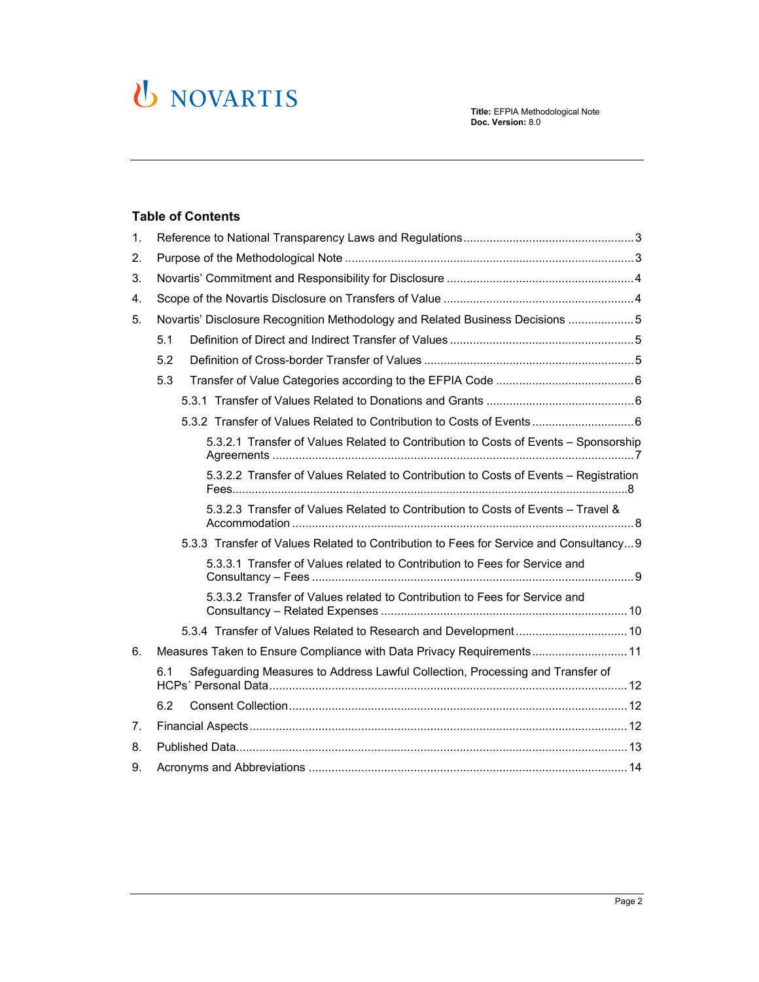# U NOVARTIS

#### **Table of Contents**

| 1. |                                                                                       |  |
|----|---------------------------------------------------------------------------------------|--|
| 2. |                                                                                       |  |
| 3. |                                                                                       |  |
| 4. |                                                                                       |  |
| 5. | Novartis' Disclosure Recognition Methodology and Related Business Decisions 5         |  |
|    | 5.1                                                                                   |  |
|    | 5.2                                                                                   |  |
|    | 5.3                                                                                   |  |
|    |                                                                                       |  |
|    |                                                                                       |  |
|    | 5.3.2.1 Transfer of Values Related to Contribution to Costs of Events - Sponsorship   |  |
|    | 5.3.2.2 Transfer of Values Related to Contribution to Costs of Events - Registration  |  |
|    | 5.3.2.3 Transfer of Values Related to Contribution to Costs of Events - Travel &      |  |
|    | 5.3.3 Transfer of Values Related to Contribution to Fees for Service and Consultancy9 |  |
|    | 5.3.3.1 Transfer of Values related to Contribution to Fees for Service and            |  |
|    | 5.3.3.2 Transfer of Values related to Contribution to Fees for Service and            |  |
|    |                                                                                       |  |
| 6. | Measures Taken to Ensure Compliance with Data Privacy Requirements 11                 |  |
|    | Safeguarding Measures to Address Lawful Collection, Processing and Transfer of<br>6.1 |  |
|    | 6.2                                                                                   |  |
| 7. |                                                                                       |  |
| 8. |                                                                                       |  |
| 9. |                                                                                       |  |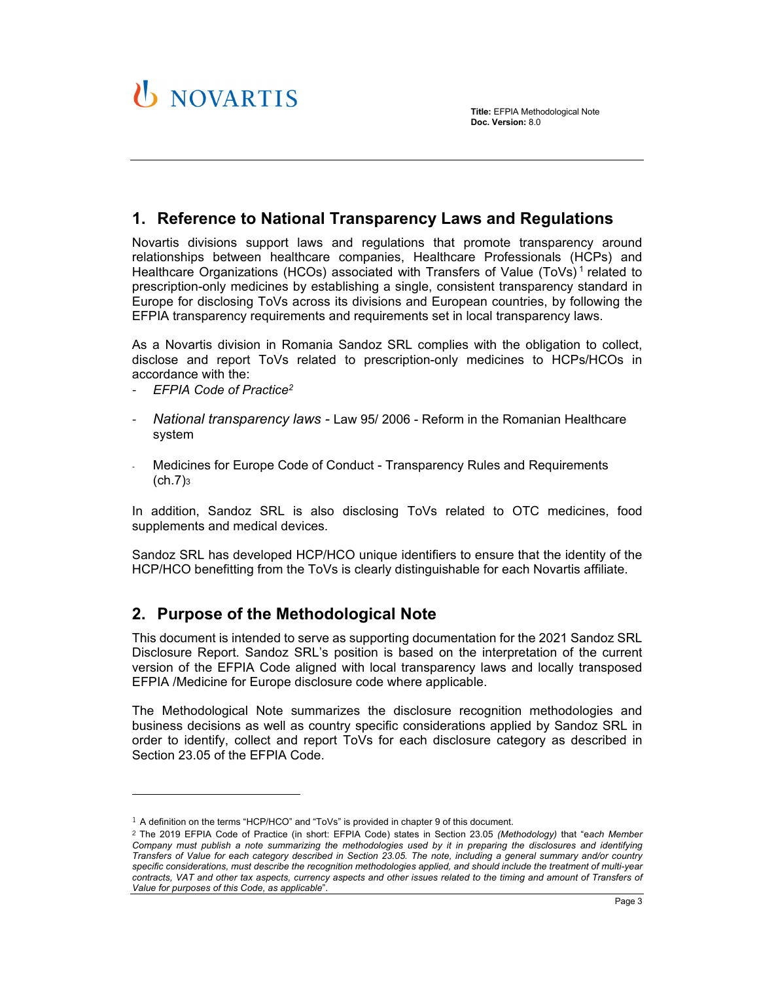# **1. Reference to National Transparency Laws and Regulations**

Novartis divisions support laws and regulations that promote transparency around relationships between healthcare companies, Healthcare Professionals (HCPs) and Healthcare Organizations (HCOs) associated with Transfers of Value (ToVs)<sup>1</sup> related to prescription-only medicines by establishing a single, consistent transparency standard in Europe for disclosing ToVs across its divisions and European countries, by following the EFPIA transparency requirements and requirements set in local transparency laws.

As a Novartis division in Romania Sandoz SRL complies with the obligation to collect, disclose and report ToVs related to prescription-only medicines to HCPs/HCOs in accordance with the:

- *EFPIA Code of Practice2*

l

- *National transparency laws* Law 95/ 2006 Reform in the Romanian Healthcare system
- Medicines for Europe Code of Conduct Transparency Rules and Requirements  $(ch.7)$ 3

In addition, Sandoz SRL is also disclosing ToVs related to OTC medicines, food supplements and medical devices.

Sandoz SRL has developed HCP/HCO unique identifiers to ensure that the identity of the HCP/HCO benefitting from the ToVs is clearly distinguishable for each Novartis affiliate.

## **2. Purpose of the Methodological Note**

This document is intended to serve as supporting documentation for the 2021 Sandoz SRL Disclosure Report. Sandoz SRL's position is based on the interpretation of the current version of the EFPIA Code aligned with local transparency laws and locally transposed EFPIA /Medicine for Europe disclosure code where applicable.

The Methodological Note summarizes the disclosure recognition methodologies and business decisions as well as country specific considerations applied by Sandoz SRL in order to identify, collect and report ToVs for each disclosure category as described in Section 23.05 of the EFPIA Code.

<sup>1</sup> A definition on the terms "HCP/HCO" and "ToVs" is provided in chapter 9 of this document.

<sup>2</sup> The 2019 EFPIA Code of Practice (in short: EFPIA Code) states in Section 23.05 *(Methodology)* that "e*ach Member Company must publish a note summarizing the methodologies used by it in preparing the disclosures and identifying Transfers of Value for each category described in Section 23.05. The note, including a general summary and/or country specific considerations, must describe the recognition methodologies applied, and should include the treatment of multi-year contracts, VAT and other tax aspects, currency aspects and other issues related to the timing and amount of Transfers of Value for purposes of this Code, as applicable*".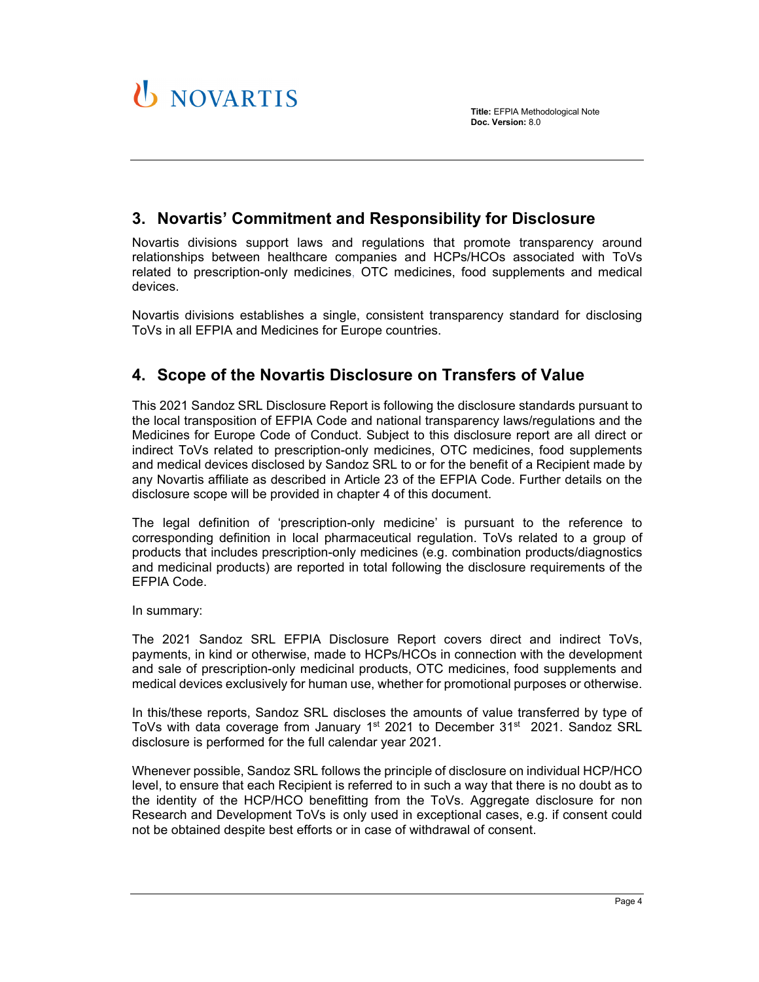# **3. Novartis' Commitment and Responsibility for Disclosure**

Novartis divisions support laws and regulations that promote transparency around relationships between healthcare companies and HCPs/HCOs associated with ToVs related to prescription-only medicines, OTC medicines, food supplements and medical devices.

Novartis divisions establishes a single, consistent transparency standard for disclosing ToVs in all EFPIA and Medicines for Europe countries.

# **4. Scope of the Novartis Disclosure on Transfers of Value**

This 2021 Sandoz SRL Disclosure Report is following the disclosure standards pursuant to the local transposition of EFPIA Code and national transparency laws/regulations and the Medicines for Europe Code of Conduct. Subject to this disclosure report are all direct or indirect ToVs related to prescription-only medicines, OTC medicines, food supplements and medical devices disclosed by Sandoz SRL to or for the benefit of a Recipient made by any Novartis affiliate as described in Article 23 of the EFPIA Code. Further details on the disclosure scope will be provided in chapter 4 of this document.

The legal definition of 'prescription-only medicine' is pursuant to the reference to corresponding definition in local pharmaceutical regulation. ToVs related to a group of products that includes prescription-only medicines (e.g. combination products/diagnostics and medicinal products) are reported in total following the disclosure requirements of the EFPIA Code.

In summary:

**U** NOVARTIS

The 2021 Sandoz SRL EFPIA Disclosure Report covers direct and indirect ToVs, payments, in kind or otherwise, made to HCPs/HCOs in connection with the development and sale of prescription-only medicinal products, OTC medicines, food supplements and medical devices exclusively for human use, whether for promotional purposes or otherwise.

In this/these reports, Sandoz SRL discloses the amounts of value transferred by type of ToVs with data coverage from January  $1<sup>st</sup>$  2021 to December 31 $<sup>st</sup>$  2021. Sandoz SRL</sup> disclosure is performed for the full calendar year 2021.

Whenever possible, Sandoz SRL follows the principle of disclosure on individual HCP/HCO level, to ensure that each Recipient is referred to in such a way that there is no doubt as to the identity of the HCP/HCO benefitting from the ToVs. Aggregate disclosure for non Research and Development ToVs is only used in exceptional cases, e.g. if consent could not be obtained despite best efforts or in case of withdrawal of consent.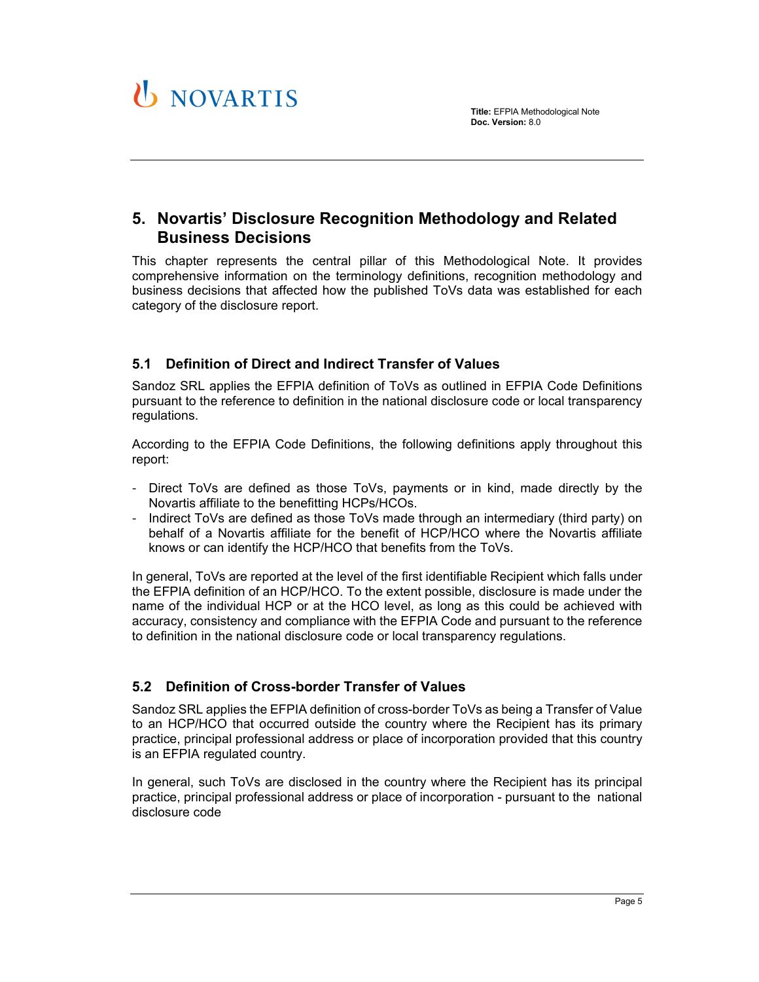

# **5. Novartis' Disclosure Recognition Methodology and Related Business Decisions**

This chapter represents the central pillar of this Methodological Note. It provides comprehensive information on the terminology definitions, recognition methodology and business decisions that affected how the published ToVs data was established for each category of the disclosure report.

## **5.1 Definition of Direct and Indirect Transfer of Values**

Sandoz SRL applies the EFPIA definition of ToVs as outlined in EFPIA Code Definitions pursuant to the reference to definition in the national disclosure code or local transparency regulations.

According to the EFPIA Code Definitions, the following definitions apply throughout this report:

- Direct ToVs are defined as those ToVs, payments or in kind, made directly by the Novartis affiliate to the benefitting HCPs/HCOs.
- Indirect ToVs are defined as those ToVs made through an intermediary (third party) on behalf of a Novartis affiliate for the benefit of HCP/HCO where the Novartis affiliate knows or can identify the HCP/HCO that benefits from the ToVs.

In general, ToVs are reported at the level of the first identifiable Recipient which falls under the EFPIA definition of an HCP/HCO. To the extent possible, disclosure is made under the name of the individual HCP or at the HCO level, as long as this could be achieved with accuracy, consistency and compliance with the EFPIA Code and pursuant to the reference to definition in the national disclosure code or local transparency regulations.

### **5.2 Definition of Cross-border Transfer of Values**

Sandoz SRL applies the EFPIA definition of cross-border ToVs as being a Transfer of Value to an HCP/HCO that occurred outside the country where the Recipient has its primary practice, principal professional address or place of incorporation provided that this country is an EFPIA regulated country.

In general, such ToVs are disclosed in the country where the Recipient has its principal practice, principal professional address or place of incorporation - pursuant to the national disclosure code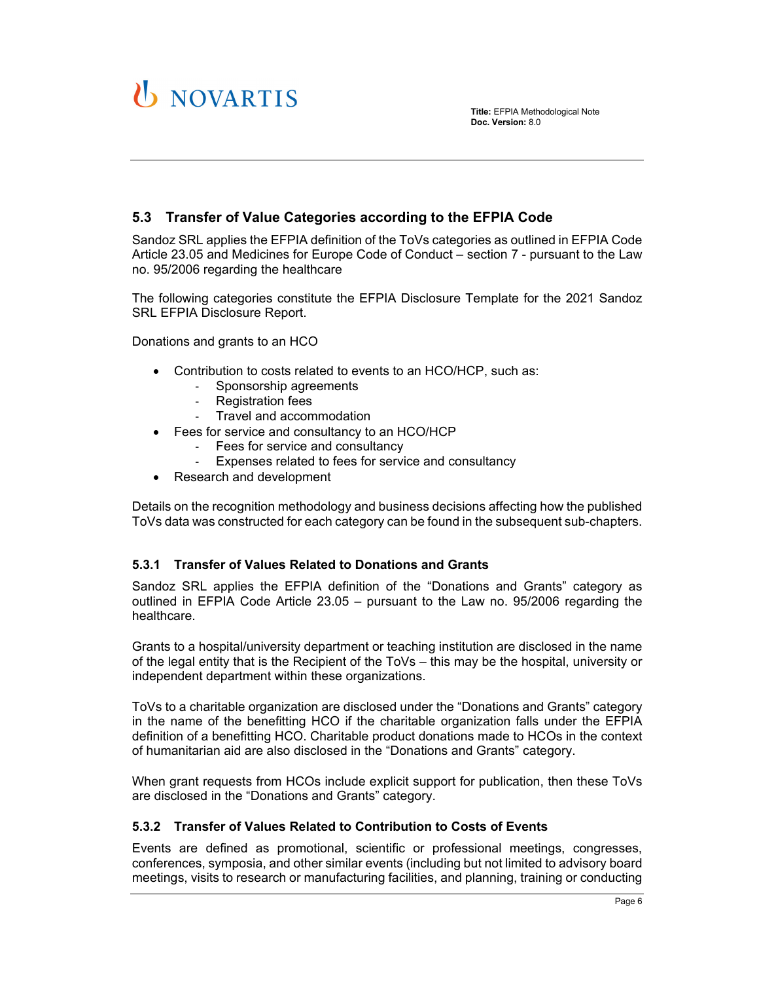

**Title:** EFPIA Methodological Note **Doc. Version:** 8.0

### **5.3 Transfer of Value Categories according to the EFPIA Code**

Sandoz SRL applies the EFPIA definition of the ToVs categories as outlined in EFPIA Code Article 23.05 and Medicines for Europe Code of Conduct – section 7 - pursuant to the Law no. 95/2006 regarding the healthcare

The following categories constitute the EFPIA Disclosure Template for the 2021 Sandoz SRL EFPIA Disclosure Report.

Donations and grants to an HCO

- Contribution to costs related to events to an HCO/HCP, such as:
	- ‐ Sponsorship agreements
	- ‐ Registration fees
	- ‐ Travel and accommodation
- Fees for service and consultancy to an HCO/HCP
	- ‐ Fees for service and consultancy
	- ‐ Expenses related to fees for service and consultancy
- Research and development

Details on the recognition methodology and business decisions affecting how the published ToVs data was constructed for each category can be found in the subsequent sub-chapters.

#### **5.3.1 Transfer of Values Related to Donations and Grants**

Sandoz SRL applies the EFPIA definition of the "Donations and Grants" category as outlined in EFPIA Code Article 23.05 – pursuant to the Law no. 95/2006 regarding the healthcare.

Grants to a hospital/university department or teaching institution are disclosed in the name of the legal entity that is the Recipient of the ToVs – this may be the hospital, university or independent department within these organizations.

ToVs to a charitable organization are disclosed under the "Donations and Grants" category in the name of the benefitting HCO if the charitable organization falls under the EFPIA definition of a benefitting HCO. Charitable product donations made to HCOs in the context of humanitarian aid are also disclosed in the "Donations and Grants" category.

When grant requests from HCOs include explicit support for publication, then these ToVs are disclosed in the "Donations and Grants" category.

#### **5.3.2 Transfer of Values Related to Contribution to Costs of Events**

Events are defined as promotional, scientific or professional meetings, congresses, conferences, symposia, and other similar events (including but not limited to advisory board meetings, visits to research or manufacturing facilities, and planning, training or conducting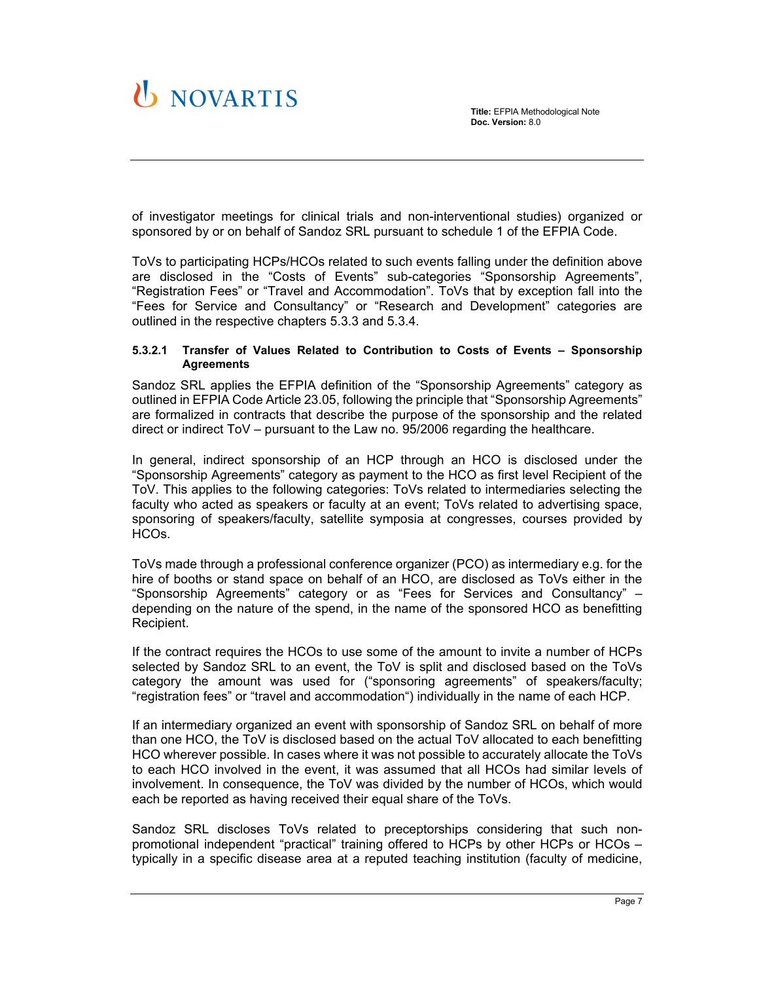

of investigator meetings for clinical trials and non-interventional studies) organized or sponsored by or on behalf of Sandoz SRL pursuant to schedule 1 of the EFPIA Code.

ToVs to participating HCPs/HCOs related to such events falling under the definition above are disclosed in the "Costs of Events" sub-categories "Sponsorship Agreements", "Registration Fees" or "Travel and Accommodation". ToVs that by exception fall into the "Fees for Service and Consultancy" or "Research and Development" categories are outlined in the respective chapters 5.3.3 and 5.3.4.

#### **5.3.2.1 Transfer of Values Related to Contribution to Costs of Events – Sponsorship Agreements**

Sandoz SRL applies the EFPIA definition of the "Sponsorship Agreements" category as outlined in EFPIA Code Article 23.05, following the principle that "Sponsorship Agreements" are formalized in contracts that describe the purpose of the sponsorship and the related direct or indirect ToV – pursuant to the Law no. 95/2006 regarding the healthcare.

In general, indirect sponsorship of an HCP through an HCO is disclosed under the "Sponsorship Agreements" category as payment to the HCO as first level Recipient of the ToV. This applies to the following categories: ToVs related to intermediaries selecting the faculty who acted as speakers or faculty at an event; ToVs related to advertising space, sponsoring of speakers/faculty, satellite symposia at congresses, courses provided by HCOs.

ToVs made through a professional conference organizer (PCO) as intermediary e.g. for the hire of booths or stand space on behalf of an HCO, are disclosed as ToVs either in the "Sponsorship Agreements" category or as "Fees for Services and Consultancy" – depending on the nature of the spend, in the name of the sponsored HCO as benefitting Recipient.

If the contract requires the HCOs to use some of the amount to invite a number of HCPs selected by Sandoz SRL to an event, the ToV is split and disclosed based on the ToVs category the amount was used for ("sponsoring agreements" of speakers/faculty; "registration fees" or "travel and accommodation") individually in the name of each HCP.

If an intermediary organized an event with sponsorship of Sandoz SRL on behalf of more than one HCO, the ToV is disclosed based on the actual ToV allocated to each benefitting HCO wherever possible. In cases where it was not possible to accurately allocate the ToVs to each HCO involved in the event, it was assumed that all HCOs had similar levels of involvement. In consequence, the ToV was divided by the number of HCOs, which would each be reported as having received their equal share of the ToVs.

Sandoz SRL discloses ToVs related to preceptorships considering that such nonpromotional independent "practical" training offered to HCPs by other HCPs or HCOs – typically in a specific disease area at a reputed teaching institution (faculty of medicine,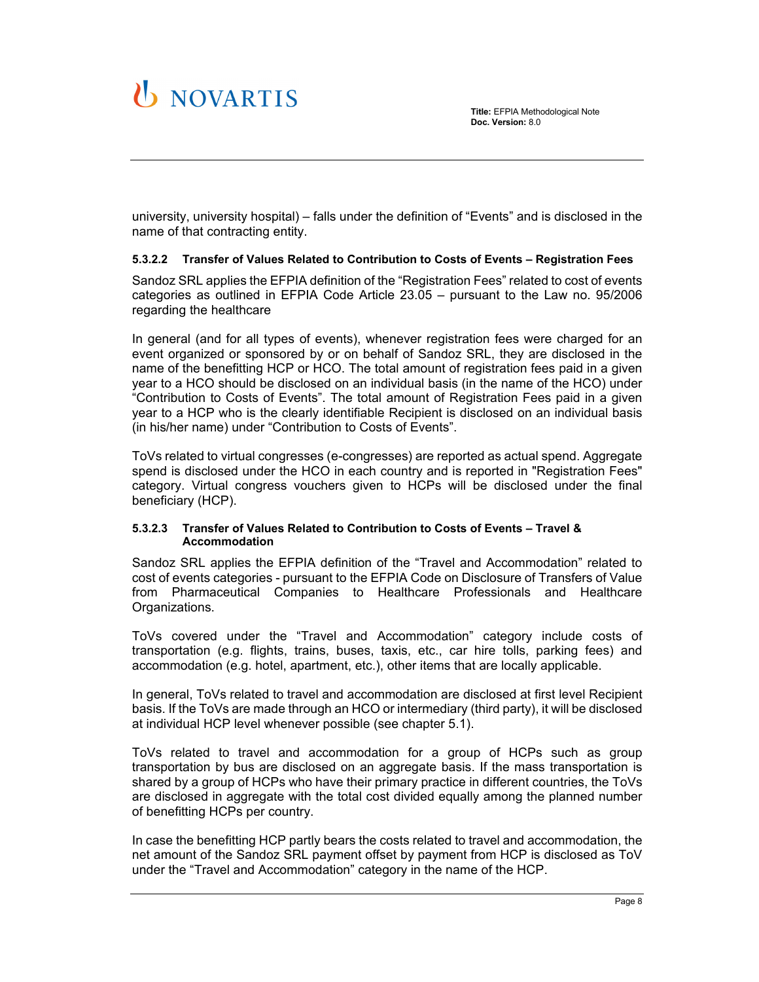university, university hospital) – falls under the definition of "Events" and is disclosed in the name of that contracting entity.

#### **5.3.2.2 Transfer of Values Related to Contribution to Costs of Events – Registration Fees**

Sandoz SRL applies the EFPIA definition of the "Registration Fees" related to cost of events categories as outlined in EFPIA Code Article 23.05 – pursuant to the Law no. 95/2006 regarding the healthcare

In general (and for all types of events), whenever registration fees were charged for an event organized or sponsored by or on behalf of Sandoz SRL, they are disclosed in the name of the benefitting HCP or HCO. The total amount of registration fees paid in a given year to a HCO should be disclosed on an individual basis (in the name of the HCO) under "Contribution to Costs of Events". The total amount of Registration Fees paid in a given year to a HCP who is the clearly identifiable Recipient is disclosed on an individual basis (in his/her name) under "Contribution to Costs of Events".

ToVs related to virtual congresses (e-congresses) are reported as actual spend. Aggregate spend is disclosed under the HCO in each country and is reported in "Registration Fees" category. Virtual congress vouchers given to HCPs will be disclosed under the final beneficiary (HCP).

#### **5.3.2.3 Transfer of Values Related to Contribution to Costs of Events – Travel & Accommodation**

Sandoz SRL applies the EFPIA definition of the "Travel and Accommodation" related to cost of events categories - pursuant to the EFPIA Code on Disclosure of Transfers of Value from Pharmaceutical Companies to Healthcare Professionals and Healthcare Organizations.

ToVs covered under the "Travel and Accommodation" category include costs of transportation (e.g. flights, trains, buses, taxis, etc., car hire tolls, parking fees) and accommodation (e.g. hotel, apartment, etc.), other items that are locally applicable.

In general, ToVs related to travel and accommodation are disclosed at first level Recipient basis. If the ToVs are made through an HCO or intermediary (third party), it will be disclosed at individual HCP level whenever possible (see chapter 5.1).

ToVs related to travel and accommodation for a group of HCPs such as group transportation by bus are disclosed on an aggregate basis. If the mass transportation is shared by a group of HCPs who have their primary practice in different countries, the ToVs are disclosed in aggregate with the total cost divided equally among the planned number of benefitting HCPs per country.

In case the benefitting HCP partly bears the costs related to travel and accommodation, the net amount of the Sandoz SRL payment offset by payment from HCP is disclosed as ToV under the "Travel and Accommodation" category in the name of the HCP.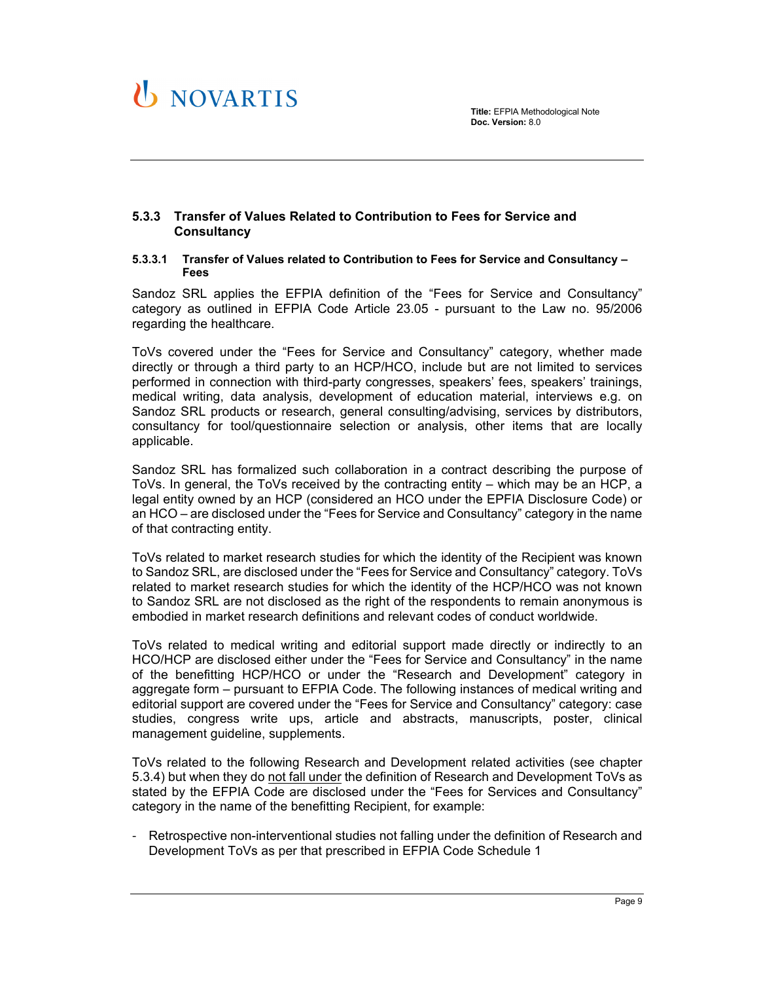

#### **5.3.3 Transfer of Values Related to Contribution to Fees for Service and Consultancy**

#### **5.3.3.1 Transfer of Values related to Contribution to Fees for Service and Consultancy – Fees**

Sandoz SRL applies the EFPIA definition of the "Fees for Service and Consultancy" category as outlined in EFPIA Code Article 23.05 - pursuant to the Law no. 95/2006 regarding the healthcare.

ToVs covered under the "Fees for Service and Consultancy" category, whether made directly or through a third party to an HCP/HCO, include but are not limited to services performed in connection with third-party congresses, speakers' fees, speakers' trainings, medical writing, data analysis, development of education material, interviews e.g. on Sandoz SRL products or research, general consulting/advising, services by distributors, consultancy for tool/questionnaire selection or analysis, other items that are locally applicable.

Sandoz SRL has formalized such collaboration in a contract describing the purpose of ToVs. In general, the ToVs received by the contracting entity – which may be an HCP, a legal entity owned by an HCP (considered an HCO under the EPFIA Disclosure Code) or an HCO – are disclosed under the "Fees for Service and Consultancy" category in the name of that contracting entity.

ToVs related to market research studies for which the identity of the Recipient was known to Sandoz SRL, are disclosed under the "Fees for Service and Consultancy" category. ToVs related to market research studies for which the identity of the HCP/HCO was not known to Sandoz SRL are not disclosed as the right of the respondents to remain anonymous is embodied in market research definitions and relevant codes of conduct worldwide.

ToVs related to medical writing and editorial support made directly or indirectly to an HCO/HCP are disclosed either under the "Fees for Service and Consultancy" in the name of the benefitting HCP/HCO or under the "Research and Development" category in aggregate form – pursuant to EFPIA Code. The following instances of medical writing and editorial support are covered under the "Fees for Service and Consultancy" category: case studies, congress write ups, article and abstracts, manuscripts, poster, clinical management guideline, supplements.

ToVs related to the following Research and Development related activities (see chapter 5.3.4) but when they do not fall under the definition of Research and Development ToVs as stated by the EFPIA Code are disclosed under the "Fees for Services and Consultancy" category in the name of the benefitting Recipient, for example:

Retrospective non-interventional studies not falling under the definition of Research and Development ToVs as per that prescribed in EFPIA Code Schedule 1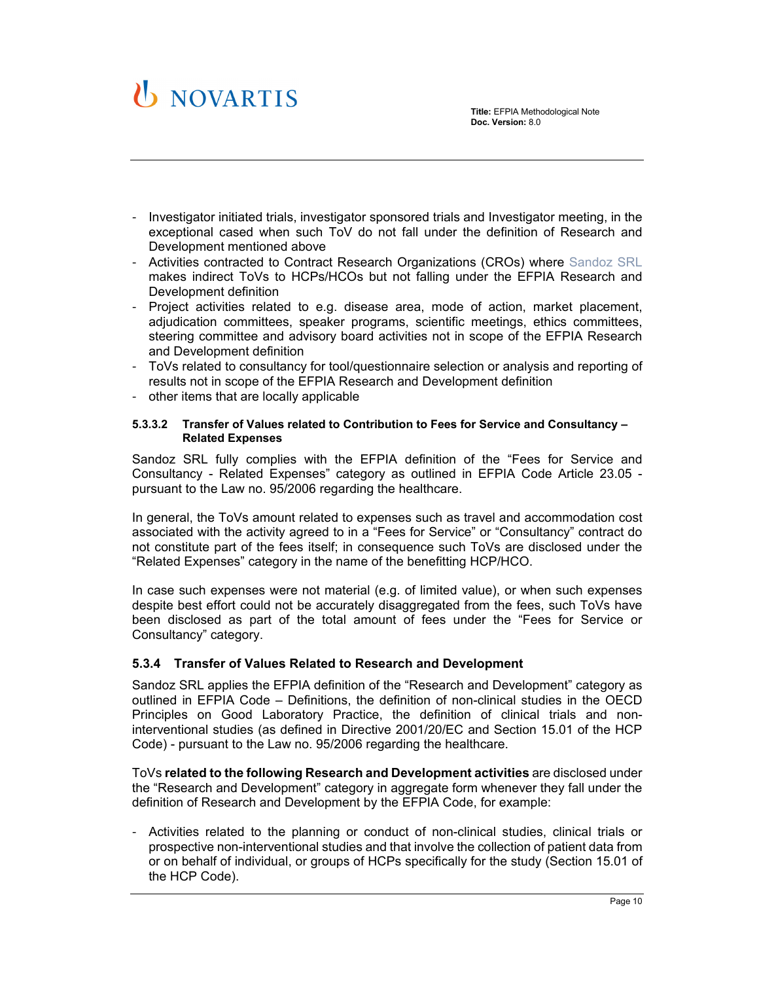

- Investigator initiated trials, investigator sponsored trials and Investigator meeting, in the exceptional cased when such ToV do not fall under the definition of Research and Development mentioned above
- Activities contracted to Contract Research Organizations (CROs) where Sandoz SRL makes indirect ToVs to HCPs/HCOs but not falling under the EFPIA Research and Development definition
- Project activities related to e.g. disease area, mode of action, market placement, adjudication committees, speaker programs, scientific meetings, ethics committees, steering committee and advisory board activities not in scope of the EFPIA Research and Development definition
- ToVs related to consultancy for tool/questionnaire selection or analysis and reporting of results not in scope of the EFPIA Research and Development definition
- other items that are locally applicable

#### **5.3.3.2 Transfer of Values related to Contribution to Fees for Service and Consultancy – Related Expenses**

Sandoz SRL fully complies with the EFPIA definition of the "Fees for Service and Consultancy - Related Expenses" category as outlined in EFPIA Code Article 23.05 pursuant to the Law no. 95/2006 regarding the healthcare.

In general, the ToVs amount related to expenses such as travel and accommodation cost associated with the activity agreed to in a "Fees for Service" or "Consultancy" contract do not constitute part of the fees itself; in consequence such ToVs are disclosed under the "Related Expenses" category in the name of the benefitting HCP/HCO.

In case such expenses were not material (e.g. of limited value), or when such expenses despite best effort could not be accurately disaggregated from the fees, such ToVs have been disclosed as part of the total amount of fees under the "Fees for Service or Consultancy" category.

#### **5.3.4 Transfer of Values Related to Research and Development**

Sandoz SRL applies the EFPIA definition of the "Research and Development" category as outlined in EFPIA Code – Definitions, the definition of non-clinical studies in the OECD Principles on Good Laboratory Practice, the definition of clinical trials and noninterventional studies (as defined in Directive 2001/20/EC and Section 15.01 of the HCP Code) - pursuant to the Law no. 95/2006 regarding the healthcare.

ToVs **related to the following Research and Development activities** are disclosed under the "Research and Development" category in aggregate form whenever they fall under the definition of Research and Development by the EFPIA Code, for example:

- Activities related to the planning or conduct of non-clinical studies, clinical trials or prospective non-interventional studies and that involve the collection of patient data from or on behalf of individual, or groups of HCPs specifically for the study (Section 15.01 of the HCP Code).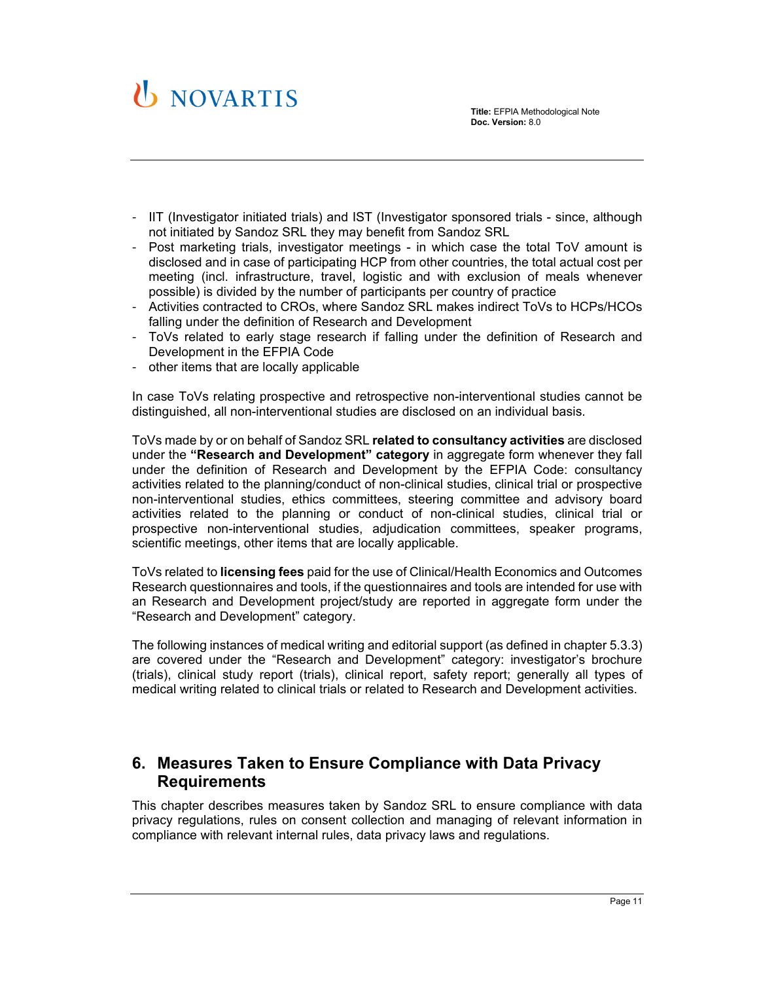

- IIT (Investigator initiated trials) and IST (Investigator sponsored trials since, although not initiated by Sandoz SRL they may benefit from Sandoz SRL
- Post marketing trials, investigator meetings in which case the total ToV amount is disclosed and in case of participating HCP from other countries, the total actual cost per meeting (incl. infrastructure, travel, logistic and with exclusion of meals whenever possible) is divided by the number of participants per country of practice
- Activities contracted to CROs, where Sandoz SRL makes indirect ToVs to HCPs/HCOs falling under the definition of Research and Development
- ToVs related to early stage research if falling under the definition of Research and Development in the EFPIA Code
- other items that are locally applicable

In case ToVs relating prospective and retrospective non-interventional studies cannot be distinguished, all non-interventional studies are disclosed on an individual basis.

ToVs made by or on behalf of Sandoz SRL **related to consultancy activities** are disclosed under the **"Research and Development" category** in aggregate form whenever they fall under the definition of Research and Development by the EFPIA Code: consultancy activities related to the planning/conduct of non-clinical studies, clinical trial or prospective non-interventional studies, ethics committees, steering committee and advisory board activities related to the planning or conduct of non-clinical studies, clinical trial or prospective non-interventional studies, adjudication committees, speaker programs, scientific meetings, other items that are locally applicable.

ToVs related to **licensing fees** paid for the use of Clinical/Health Economics and Outcomes Research questionnaires and tools, if the questionnaires and tools are intended for use with an Research and Development project/study are reported in aggregate form under the "Research and Development" category.

The following instances of medical writing and editorial support (as defined in chapter 5.3.3) are covered under the "Research and Development" category: investigator's brochure (trials), clinical study report (trials), clinical report, safety report; generally all types of medical writing related to clinical trials or related to Research and Development activities.

## **6. Measures Taken to Ensure Compliance with Data Privacy Requirements**

This chapter describes measures taken by Sandoz SRL to ensure compliance with data privacy regulations, rules on consent collection and managing of relevant information in compliance with relevant internal rules, data privacy laws and regulations.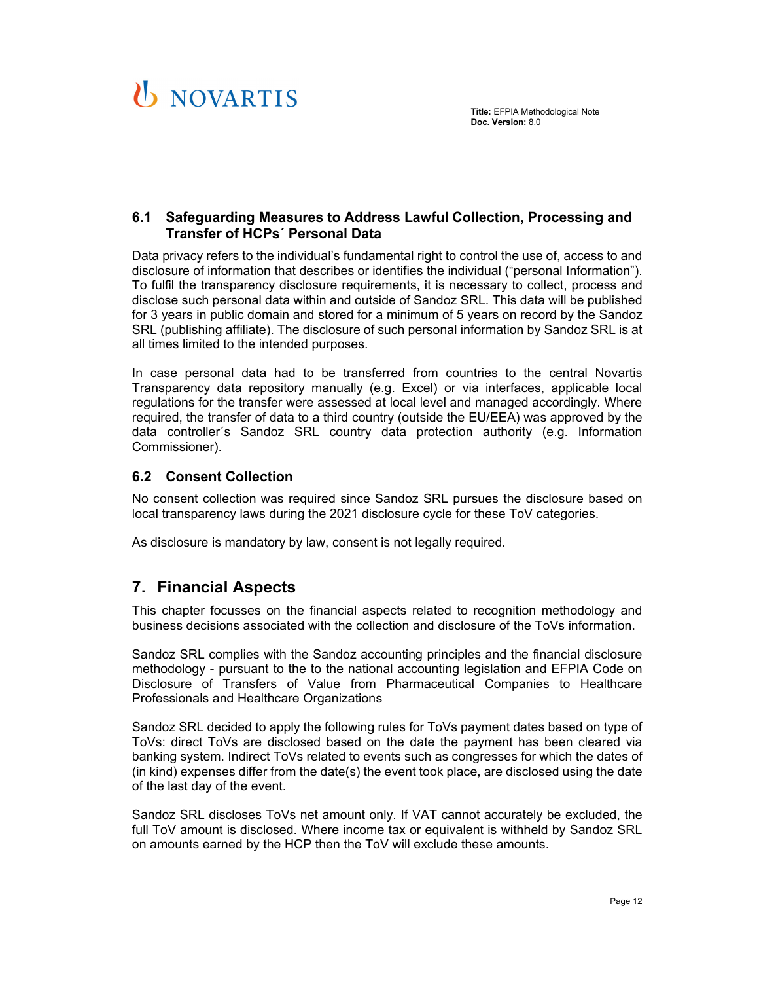

### **6.1 Safeguarding Measures to Address Lawful Collection, Processing and Transfer of HCPs´ Personal Data**

Data privacy refers to the individual's fundamental right to control the use of, access to and disclosure of information that describes or identifies the individual ("personal Information"). To fulfil the transparency disclosure requirements, it is necessary to collect, process and disclose such personal data within and outside of Sandoz SRL. This data will be published for 3 years in public domain and stored for a minimum of 5 years on record by the Sandoz SRL (publishing affiliate). The disclosure of such personal information by Sandoz SRL is at all times limited to the intended purposes.

In case personal data had to be transferred from countries to the central Novartis Transparency data repository manually (e.g. Excel) or via interfaces, applicable local regulations for the transfer were assessed at local level and managed accordingly. Where required, the transfer of data to a third country (outside the EU/EEA) was approved by the data controller´s Sandoz SRL country data protection authority (e.g. Information Commissioner).

## **6.2 Consent Collection**

No consent collection was required since Sandoz SRL pursues the disclosure based on local transparency laws during the 2021 disclosure cycle for these ToV categories.

As disclosure is mandatory by law, consent is not legally required.

## **7. Financial Aspects**

This chapter focusses on the financial aspects related to recognition methodology and business decisions associated with the collection and disclosure of the ToVs information.

Sandoz SRL complies with the Sandoz accounting principles and the financial disclosure methodology - pursuant to the to the national accounting legislation and EFPIA Code on Disclosure of Transfers of Value from Pharmaceutical Companies to Healthcare Professionals and Healthcare Organizations

Sandoz SRL decided to apply the following rules for ToVs payment dates based on type of ToVs: direct ToVs are disclosed based on the date the payment has been cleared via banking system. Indirect ToVs related to events such as congresses for which the dates of (in kind) expenses differ from the date(s) the event took place, are disclosed using the date of the last day of the event.

Sandoz SRL discloses ToVs net amount only. If VAT cannot accurately be excluded, the full ToV amount is disclosed. Where income tax or equivalent is withheld by Sandoz SRL on amounts earned by the HCP then the ToV will exclude these amounts.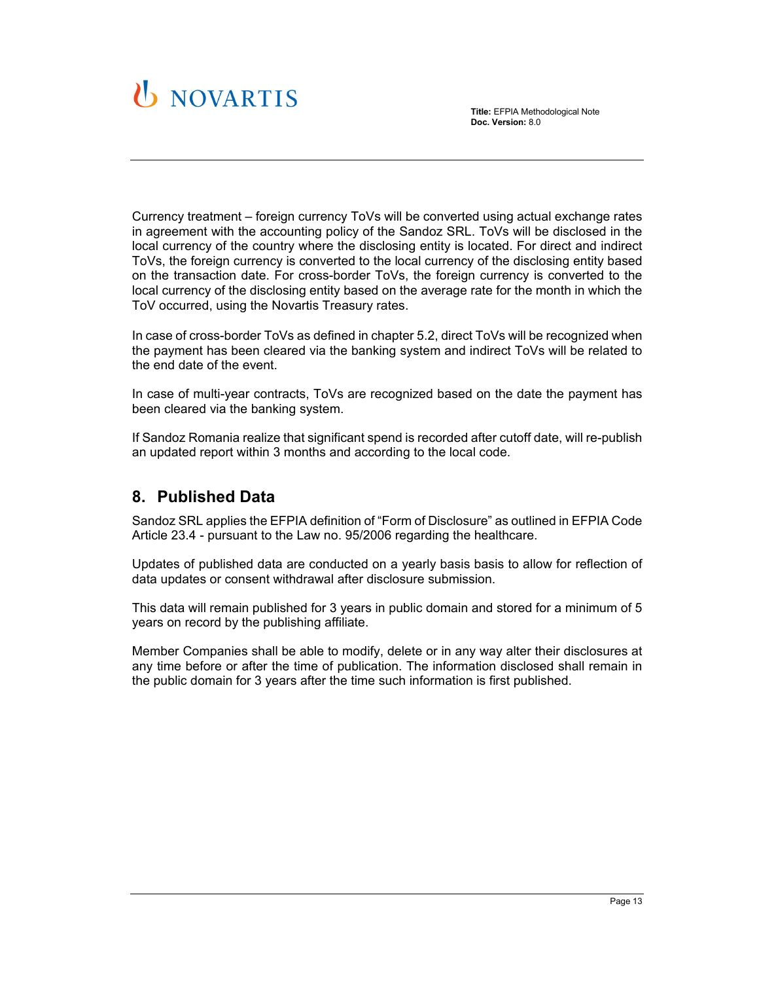

Currency treatment – foreign currency ToVs will be converted using actual exchange rates in agreement with the accounting policy of the Sandoz SRL. ToVs will be disclosed in the local currency of the country where the disclosing entity is located. For direct and indirect ToVs, the foreign currency is converted to the local currency of the disclosing entity based on the transaction date. For cross-border ToVs, the foreign currency is converted to the local currency of the disclosing entity based on the average rate for the month in which the ToV occurred, using the Novartis Treasury rates.

In case of cross-border ToVs as defined in chapter 5.2, direct ToVs will be recognized when the payment has been cleared via the banking system and indirect ToVs will be related to the end date of the event.

In case of multi-year contracts, ToVs are recognized based on the date the payment has been cleared via the banking system.

If Sandoz Romania realize that significant spend is recorded after cutoff date, will re-publish an updated report within 3 months and according to the local code.

## **8. Published Data**

Sandoz SRL applies the EFPIA definition of "Form of Disclosure" as outlined in EFPIA Code Article 23.4 - pursuant to the Law no. 95/2006 regarding the healthcare.

Updates of published data are conducted on a yearly basis basis to allow for reflection of data updates or consent withdrawal after disclosure submission.

This data will remain published for 3 years in public domain and stored for a minimum of 5 years on record by the publishing affiliate.

Member Companies shall be able to modify, delete or in any way alter their disclosures at any time before or after the time of publication. The information disclosed shall remain in the public domain for 3 years after the time such information is first published.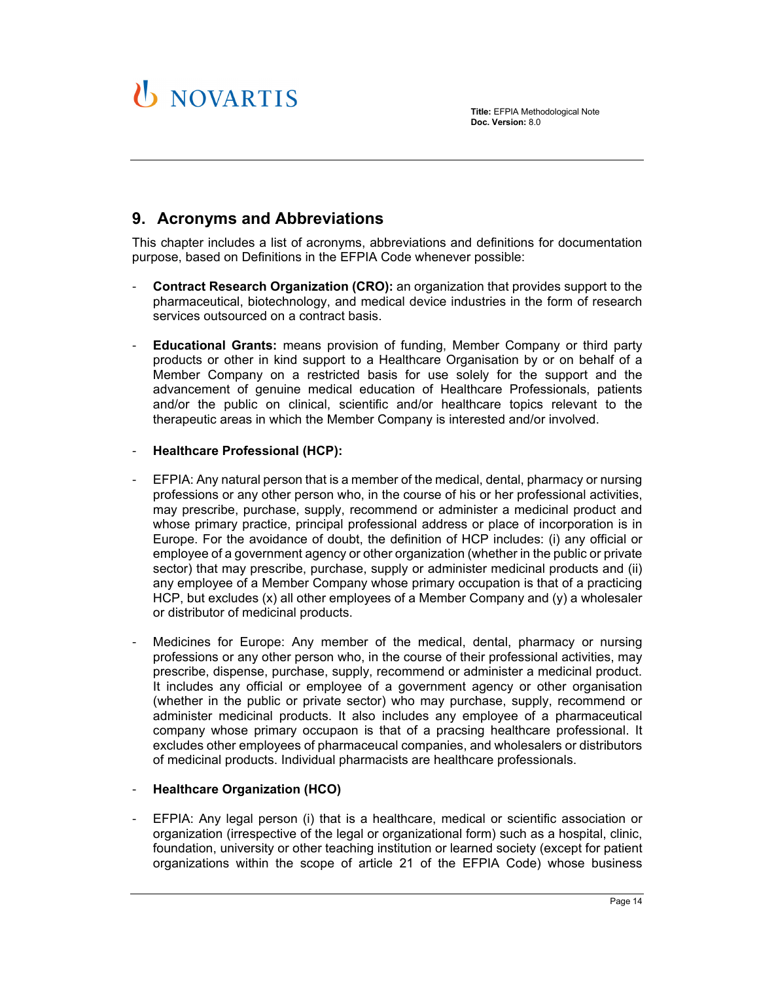# U NOVARTIS

**Title:** EFPIA Methodological Note **Doc. Version:** 8.0

# **9. Acronyms and Abbreviations**

This chapter includes a list of acronyms, abbreviations and definitions for documentation purpose, based on Definitions in the EFPIA Code whenever possible:

- **Contract Research Organization (CRO):** an organization that provides support to the pharmaceutical, biotechnology, and medical device industries in the form of research services outsourced on a contract basis.
- **Educational Grants:** means provision of funding, Member Company or third party products or other in kind support to a Healthcare Organisation by or on behalf of a Member Company on a restricted basis for use solely for the support and the advancement of genuine medical education of Healthcare Professionals, patients and/or the public on clinical, scientific and/or healthcare topics relevant to the therapeutic areas in which the Member Company is interested and/or involved.

#### - **Healthcare Professional (HCP):**

- EFPIA: Any natural person that is a member of the medical, dental, pharmacy or nursing professions or any other person who, in the course of his or her professional activities, may prescribe, purchase, supply, recommend or administer a medicinal product and whose primary practice, principal professional address or place of incorporation is in Europe. For the avoidance of doubt, the definition of HCP includes: (i) any official or employee of a government agency or other organization (whether in the public or private sector) that may prescribe, purchase, supply or administer medicinal products and (ii) any employee of a Member Company whose primary occupation is that of a practicing HCP, but excludes (x) all other employees of a Member Company and (y) a wholesaler or distributor of medicinal products.
- Medicines for Europe: Any member of the medical, dental, pharmacy or nursing professions or any other person who, in the course of their professional activities, may prescribe, dispense, purchase, supply, recommend or administer a medicinal product. It includes any official or employee of a government agency or other organisation (whether in the public or private sector) who may purchase, supply, recommend or administer medicinal products. It also includes any employee of a pharmaceutical company whose primary occupaon is that of a pracsing healthcare professional. It excludes other employees of pharmaceucal companies, and wholesalers or distributors of medicinal products. Individual pharmacists are healthcare professionals.

#### - **Healthcare Organization (HCO)**

EFPIA: Any legal person (i) that is a healthcare, medical or scientific association or organization (irrespective of the legal or organizational form) such as a hospital, clinic, foundation, university or other teaching institution or learned society (except for patient organizations within the scope of article 21 of the EFPIA Code) whose business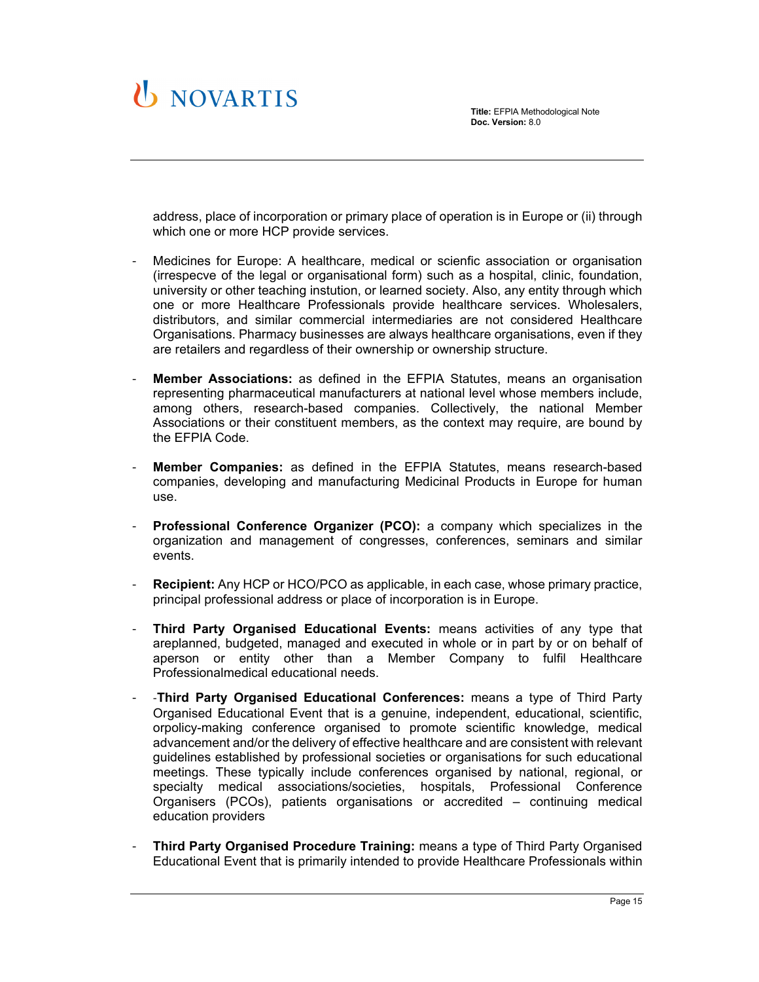

address, place of incorporation or primary place of operation is in Europe or (ii) through which one or more HCP provide services.

- Medicines for Europe: A healthcare, medical or scienfic association or organisation (irrespecve of the legal or organisational form) such as a hospital, clinic, foundation, university or other teaching instution, or learned society. Also, any entity through which one or more Healthcare Professionals provide healthcare services. Wholesalers, distributors, and similar commercial intermediaries are not considered Healthcare Organisations. Pharmacy businesses are always healthcare organisations, even if they are retailers and regardless of their ownership or ownership structure.
- **Member Associations:** as defined in the EFPIA Statutes, means an organisation representing pharmaceutical manufacturers at national level whose members include, among others, research-based companies. Collectively, the national Member Associations or their constituent members, as the context may require, are bound by the EFPIA Code.
- **Member Companies:** as defined in the EFPIA Statutes, means research-based companies, developing and manufacturing Medicinal Products in Europe for human use.
- Professional Conference Organizer (PCO): a company which specializes in the organization and management of congresses, conferences, seminars and similar events.
- **Recipient:** Any HCP or HCO/PCO as applicable, in each case, whose primary practice, principal professional address or place of incorporation is in Europe.
- **Third Party Organised Educational Events:** means activities of any type that areplanned, budgeted, managed and executed in whole or in part by or on behalf of aperson or entity other than a Member Company to fulfil Healthcare Professionalmedical educational needs.
- ‐**Third Party Organised Educational Conferences:** means a type of Third Party Organised Educational Event that is a genuine, independent, educational, scientific, orpolicy-making conference organised to promote scientific knowledge, medical advancement and/or the delivery of effective healthcare and are consistent with relevant guidelines established by professional societies or organisations for such educational meetings. These typically include conferences organised by national, regional, or specialty medical associations/societies, hospitals, Professional Conference Organisers (PCOs), patients organisations or accredited – continuing medical education providers
- **Third Party Organised Procedure Training:** means a type of Third Party Organised Educational Event that is primarily intended to provide Healthcare Professionals within